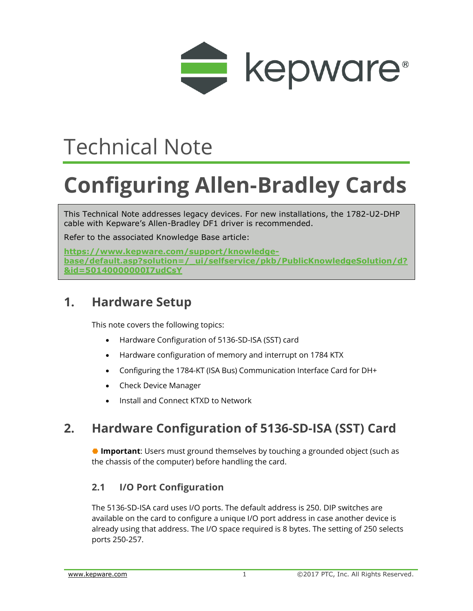

## Technical Note

# **Configuring Allen-Bradley Cards**

This Technical Note addresses legacy devices. For new installations, the 1782-U2-DHP cable with Kepware's Allen-Bradley DF1 driver is recommended.

Refer to the associated Knowledge Base article:

**https://www.kepware.com/support/knowledgebase/default.asp?solution=/\_ui/selfservice/pkb/PublicKnowledgeSolution/d? &id=50140000000I7udCsY**

## **1. Hardware Setup**

This note covers the following topics:

- [Hardware Configuration of 5136-SD-ISA \(SST\) card](file:///C:/WIP/TechNotes_KB/GENDOC-580/Hardware_Configuration_of_5136-SD-ISA_(SST)_card.htm)
- [Hardware configuration of memory and interrupt on 1784 KTX](file:///C:/WIP/TechNotes_KB/GENDOC-580/Configuring_memory_and_interrupt_on_1784_KTX.htm)
- [Configuring the 1784-KT \(ISA Bus\) Communication Interface Card for DH+](file:///C:/WIP/TechNotes_KB/GENDOC-580/Configuring_the_1784-KT_(ISA_Bus)_Communication_Interface_Card_for_DH+.htm)
- [Check Device Manager](file:///C:/WIP/TechNotes_KB/GENDOC-580/Check_Device_Manager.htm)
- [Install and Connect KTXD to Network](file:///C:/WIP/TechNotes_KB/GENDOC-580/Install_and_Connect_KTXD_to_Network.htm)

## **2. Hardware Configuration of 5136-SD-ISA (SST) Card**

 **Important**: Users must ground themselves by touching a grounded object (such as the chassis of the computer) before handling the card.

### **2.1 I/O Port Configuration**

The 5136-SD-ISA card uses I/O ports. The default address is 250. DIP switches are available on the card to configure a unique I/O port address in case another device is already using that address. The I/O space required is 8 bytes. The setting of 250 selects ports 250-257.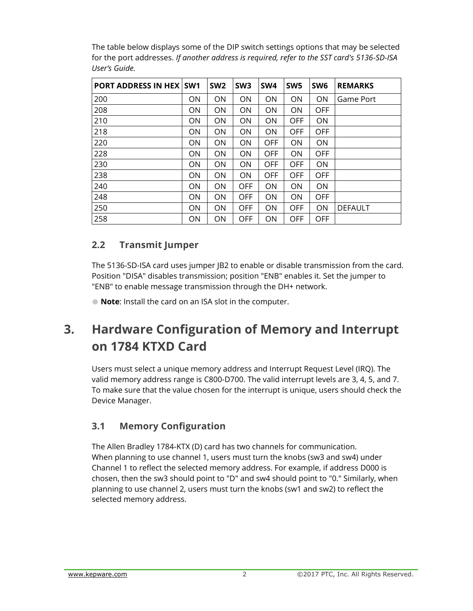The table below displays some of the DIP switch settings options that may be selected for the port addresses. *If another address is required, refer to the SST card's 5136-SD-ISA User's Guide.*

| <b>PORT ADDRESS IN HEX   SW1</b> |           | SW <sub>2</sub> | SW <sub>3</sub> | SW <sub>4</sub> | SW <sub>5</sub> | SW <sub>6</sub> | <b>REMARKS</b> |
|----------------------------------|-----------|-----------------|-----------------|-----------------|-----------------|-----------------|----------------|
| 200                              | <b>ON</b> | <b>ON</b>       | <b>ON</b>       | ΟN              | <b>ON</b>       | ON.             | Game Port      |
| 208                              | ON.       | <b>ON</b>       | <b>ON</b>       | ΟN              | <b>ON</b>       | <b>OFF</b>      |                |
| 210                              | ON.       | <b>ON</b>       | <b>ON</b>       | ON              | <b>OFF</b>      | ON              |                |
| 218                              | ON.       | ON              | <b>ON</b>       | ON              | <b>OFF</b>      | <b>OFF</b>      |                |
| 220                              | <b>ON</b> | <b>ON</b>       | <b>ON</b>       | <b>OFF</b>      | <b>ON</b>       | ON.             |                |
| 228                              | <b>ON</b> | ON              | ON              | <b>OFF</b>      | <b>ON</b>       | <b>OFF</b>      |                |
| 230                              | <b>ON</b> | <b>ON</b>       | <b>ON</b>       | <b>OFF</b>      | <b>OFF</b>      | ON.             |                |
| 238                              | ON.       | ON              | ON              | <b>OFF</b>      | <b>OFF</b>      | <b>OFF</b>      |                |
| 240                              | <b>ON</b> | <b>ON</b>       | <b>OFF</b>      | ON              | <b>ON</b>       | ON.             |                |
| 248                              | ON        | ON              | <b>OFF</b>      | ON              | <b>ON</b>       | <b>OFF</b>      |                |
| 250                              | ON.       | <b>ON</b>       | <b>OFF</b>      | ON              | <b>OFF</b>      | ON.             | <b>DEFAULT</b> |
| 258                              | <b>ON</b> | <b>ON</b>       | <b>OFF</b>      | ON              | OFF             | <b>OFF</b>      |                |

#### **2.2 Transmit Jumper**

The 5136-SD-ISA card uses jumper JB2 to enable or disable transmission from the card. Position "DISA" disables transmission; position "ENB" enables it. Set the jumper to "ENB" to enable message transmission through the DH+ network.

**Note**: Install the card on an ISA slot in the computer.

## **3. Hardware Configuration of Memory and Interrupt on 1784 KTXD Card**

Users must select a unique memory address and Interrupt Request Level (IRQ). The valid memory address range is C800-D700. The valid interrupt levels are 3, 4, 5, and 7. To make sure that the value chosen for the interrupt is unique, users should check the Device Manager.

### **3.1 Memory Configuration**

The Allen Bradley 1784-KTX (D) card has two channels for communication. When planning to use channel 1, users must turn the knobs (sw3 and sw4) under Channel 1 to reflect the selected memory address. For example, if address D000 is chosen, then the sw3 should point to "D" and sw4 should point to "0." Similarly, when planning to use channel 2, users must turn the knobs (sw1 and sw2) to reflect the selected memory address.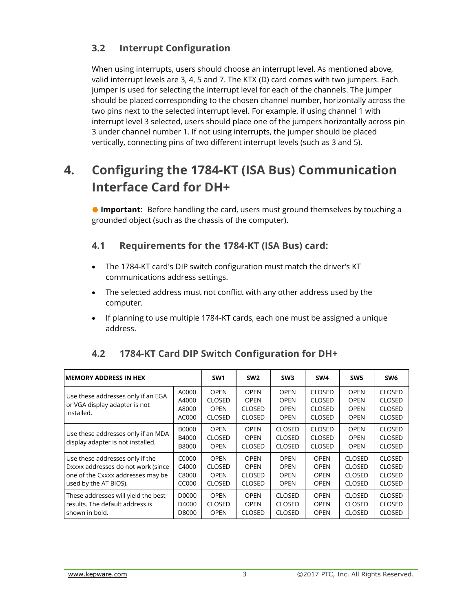## **3.2 Interrupt Configuration**

When using interrupts, users should choose an interrupt level. As mentioned above, valid interrupt levels are 3, 4, 5 and 7. The KTX (D) card comes with two jumpers. Each jumper is used for selecting the interrupt level for each of the channels. The jumper should be placed corresponding to the chosen channel number, horizontally across the two pins next to the selected interrupt level. For example, if using channel 1 with interrupt level 3 selected, users should place one of the jumpers horizontally across pin 3 under channel number 1. If not using interrupts, the jumper should be placed vertically, connecting pins of two different interrupt levels (such as 3 and 5).

## **4. Configuring the 1784-KT (ISA Bus) Communication Interface Card for DH+**

 **Important**: Before handling the card, users must ground themselves by touching a grounded object (such as the chassis of the computer).

### **4.1 Requirements for the 1784-KT (ISA Bus) card:**

- The 1784-KT card's DIP switch configuration must match the driver's KT communications address settings.
- The selected address must not conflict with any other address used by the computer.
- If planning to use multiple 1784-KT cards, each one must be assigned a unique address.

| <b>MEMORY ADDRESS IN HEX</b>                                                                                                        |                                       | SW <sub>1</sub>                                              | SW <sub>2</sub>                                              | SW <sub>3</sub>                                          | SW4                                                              | SW <sub>5</sub>                                                  | SW <sub>6</sub>                                           |
|-------------------------------------------------------------------------------------------------------------------------------------|---------------------------------------|--------------------------------------------------------------|--------------------------------------------------------------|----------------------------------------------------------|------------------------------------------------------------------|------------------------------------------------------------------|-----------------------------------------------------------|
| Use these addresses only if an EGA<br>or VGA display adapter is not<br>installed.                                                   | A0000<br>A4000<br>A8000<br>AC000      | <b>OPEN</b><br><b>CLOSED</b><br><b>OPEN</b><br><b>CLOSED</b> | <b>OPEN</b><br><b>OPEN</b><br><b>CLOSED</b><br><b>CLOSED</b> | <b>OPEN</b><br><b>OPEN</b><br><b>OPEN</b><br><b>OPEN</b> | <b>CLOSED</b><br><b>CLOSED</b><br><b>CLOSED</b><br><b>CLOSED</b> | <b>OPEN</b><br><b>OPEN</b><br><b>OPEN</b><br><b>OPEN</b>         | <b>CLOSED</b><br>CLOSED<br><b>CLOSED</b><br><b>CLOSED</b> |
| Use these addresses only if an MDA<br>display adapter is not installed.                                                             | <b>B0000</b><br>B4000<br><b>B8000</b> | <b>OPEN</b><br><b>CLOSED</b><br><b>OPEN</b>                  | <b>OPEN</b><br><b>OPEN</b><br><b>CLOSED</b>                  | <b>CLOSED</b><br><b>CLOSED</b><br><b>CLOSED</b>          | <b>CLOSED</b><br><b>CLOSED</b><br><b>CLOSED</b>                  | <b>OPEN</b><br><b>OPEN</b><br><b>OPEN</b>                        | <b>CLOSED</b><br><b>CLOSED</b><br><b>CLOSED</b>           |
| Use these addresses only if the<br>Dxxxx addresses do not work (since<br>one of the Cxxxx addresses may be<br>used by the AT BIOS). | C0000<br>C4000<br>C8000<br>CC000      | <b>OPEN</b><br><b>CLOSED</b><br><b>OPEN</b><br><b>CLOSED</b> | <b>OPEN</b><br><b>OPEN</b><br><b>CLOSED</b><br><b>CLOSED</b> | <b>OPEN</b><br><b>OPEN</b><br><b>OPEN</b><br><b>OPEN</b> | <b>OPEN</b><br><b>OPEN</b><br><b>OPEN</b><br><b>OPEN</b>         | <b>CLOSED</b><br><b>CLOSED</b><br><b>CLOSED</b><br><b>CLOSED</b> | CLOSED<br><b>CLOSED</b><br><b>CLOSED</b><br><b>CLOSED</b> |
| These addresses will yield the best<br>results. The default address is<br>shown in bold.                                            | D0000<br>D4000<br>D8000               | <b>OPEN</b><br><b>CLOSED</b><br><b>OPEN</b>                  | <b>OPEN</b><br><b>OPEN</b><br><b>CLOSED</b>                  | <b>CLOSED</b><br><b>CLOSED</b><br><b>CLOSED</b>          | <b>OPEN</b><br><b>OPEN</b><br><b>OPEN</b>                        | <b>CLOSED</b><br><b>CLOSED</b><br><b>CLOSED</b>                  | <b>CLOSED</b><br><b>CLOSED</b><br><b>CLOSED</b>           |

### **4.2 1784-KT Card DIP Switch Configuration for DH+**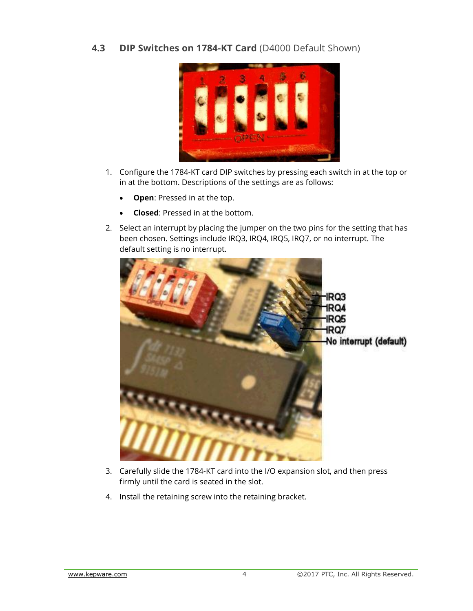**4.3 DIP Switches on 1784-KT Card** (D4000 Default Shown)



- 1. Configure the 1784-KT card DIP switches by pressing each switch in at the top or in at the bottom. Descriptions of the settings are as follows:
	- **Open**: Pressed in at the top.
	- **Closed**: Pressed in at the bottom.
- 2. Select an interrupt by placing the jumper on the two pins for the setting that has been chosen. Settings include IRQ3, IRQ4, IRQ5, IRQ7, or no interrupt. The default setting is no interrupt.



- 3. Carefully slide the 1784-KT card into the I/O expansion slot, and then press firmly until the card is seated in the slot.
- 4. Install the retaining screw into the retaining bracket.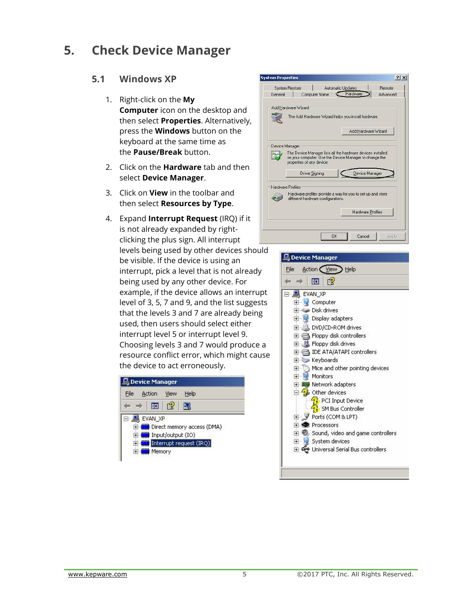## **5. Check Device Manager**

#### **5.1 Windows XP**

- 1. Right-click on the **My Computer** icon on the desktop and then select **Properties**. Alternatively, press the **Windows** button on the keyboard at the same time as the **Pause/Break** button.
- 2. Click on the **Hardware** tab and then select **Device Manager**.
- 3. Click on **View** in the toolbar and then select **Resources by Type**.
- 4. Expand **Interrupt Request** (IRQ) if it is not already expanded by rightclicking the plus sign. All interrupt levels being used by other devices should be visible. If the device is using an interrupt, pick a level that is not already being used by any other device. For example, if the device allows an interrupt level of 3, 5, 7 and 9, and the list suggests that the levels 3 and 7 are already being used, then users should select either interrupt level 5 or interrupt level 9. Choosing levels 3 and 7 would produce a resource conflict error, which might cause the device to act erroneously.

| File           | Action                   | View | Help                       |
|----------------|--------------------------|------|----------------------------|
|                | 丽                        | 字    |                            |
|                |                          |      |                            |
|                | EVAN XP                  |      |                            |
|                |                          |      | Direct memory access (DMA) |
| $\overline{+}$ | E (IO) Input/output (IO) |      | Interrupt request (IRQ)    |